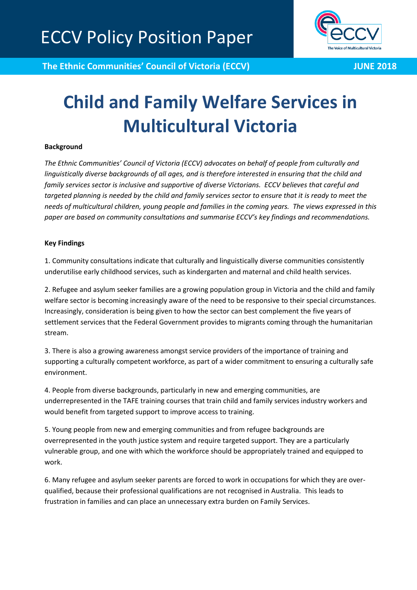

**The Ethnic Communities' Council of Victoria (ECCV) JUNE 2018** 

# **Child and Family Welfare Services in Multicultural Victoria**

## **Background**

*The Ethnic Communities' Council of Victoria (ECCV) advocates on behalf of people from culturally and linguistically diverse backgrounds of all ages, and is therefore interested in ensuring that the child and family services sector is inclusive and supportive of diverse Victorians. ECCV believes that careful and targeted planning is needed by the child and family services sector to ensure that it is ready to meet the needs of multicultural children, young people and families in the coming years. The views expressed in this paper are based on community consultations and summarise ECCV's key findings and recommendations.*

#### **Key Findings**

1. Community consultations indicate that culturally and linguistically diverse communities consistently underutilise early childhood services, such as kindergarten and maternal and child health services.

2. Refugee and asylum seeker families are a growing population group in Victoria and the child and family welfare sector is becoming increasingly aware of the need to be responsive to their special circumstances. Increasingly, consideration is being given to how the sector can best complement the five years of settlement services that the Federal Government provides to migrants coming through the humanitarian stream.

3. There is also a growing awareness amongst service providers of the importance of training and supporting a culturally competent workforce, as part of a wider commitment to ensuring a culturally safe environment.

4. People from diverse backgrounds, particularly in new and emerging communities, are underrepresented in the TAFE training courses that train child and family services industry workers and would benefit from targeted support to improve access to training.

5. Young people from new and emerging communities and from refugee backgrounds are overrepresented in the youth justice system and require targeted support. They are a particularly vulnerable group, and one with which the workforce should be appropriately trained and equipped to work.

6. Many refugee and asylum seeker parents are forced to work in occupations for which they are overqualified, because their professional qualifications are not recognised in Australia. This leads to frustration in families and can place an unnecessary extra burden on Family Services.